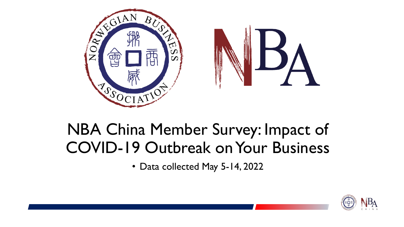

# NBA China Member Survey: Impact of COVID-19 Outbreak on Your Business

• Data collected May 5-14, 2022

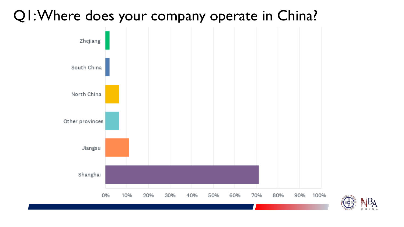### Q1: Where does your company operate in China?



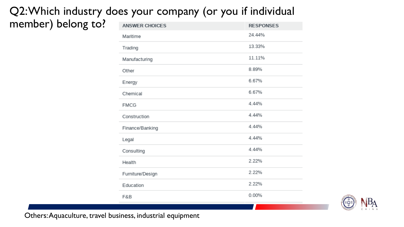#### Q2: Which industry does your company (or you if individual member) belong to?

| <b>ANSWER CHOICES</b> | <b>RESPONSES</b> |
|-----------------------|------------------|
| Maritime              | 24.44%           |
| Trading               | 13.33%           |
| Manufacturing         | 11.11%           |
| Other                 | 8.89%            |
| Energy                | 6.67%            |
| Chemical              | 6.67%            |
| <b>FMCG</b>           | 4.44%            |
| Construction          | 4.44%            |
| Finance/Banking       | 4.44%            |
| Legal                 | 4.44%            |
| Consulting            | 4.44%            |
| Health                | 2.22%            |
| Furniture/Design      | 2.22%            |
| Education             | 2.22%            |
| F&B                   | 0.00%            |



Others: Aquaculture, travel business, industrial equipment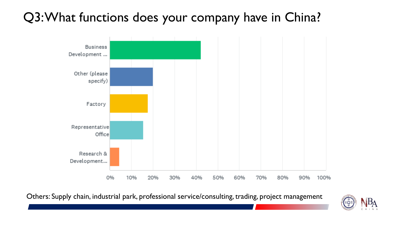### Q3: What functions does your company have in China?



Others: Supply chain, industrial park, professional service/consulting, trading, project management

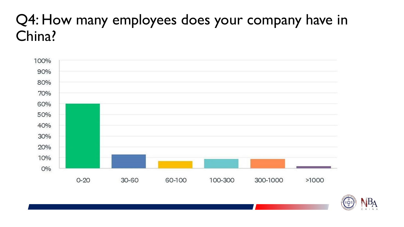## Q4: How many employees does your company have in China?



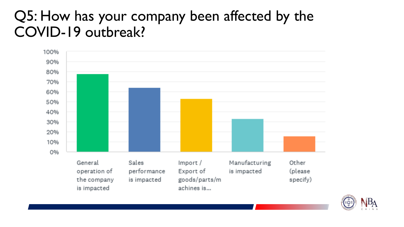## Q5: How has your company been affected by the COVID-19 outbreak?



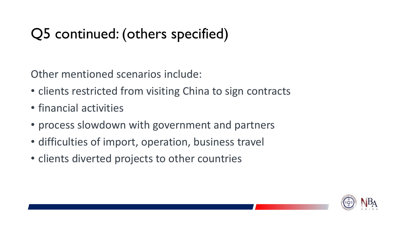# Q5 continued: (others specified)

Other mentioned scenarios include:

- clients restricted from visiting China to sign contracts
- financial activities
- process slowdown with government and partners
- difficulties of import, operation, business travel
- clients diverted projects to other countries

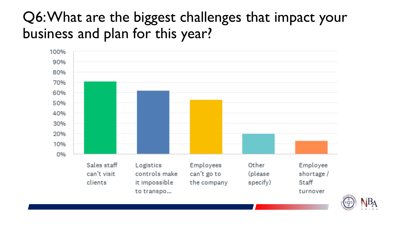## Q6: What are the biggest challenges that impact your business and plan for this year?



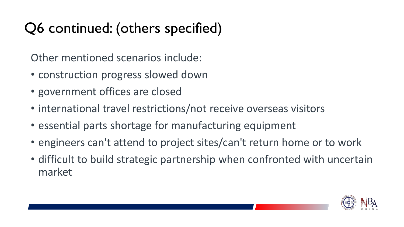# Q6 continued: (others specified)

Other mentioned scenarios include:

- construction progress slowed down
- government offices are closed
- international travel restrictions/not receive overseas visitors
- essential parts shortage for manufacturing equipment
- engineers can't attend to project sites/can't return home or to work
- difficult to build strategic partnership when confronted with uncertain market

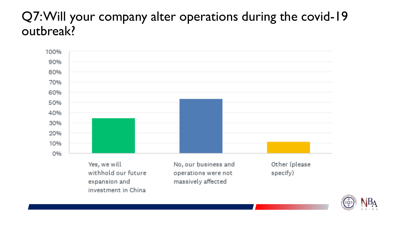#### Q7: Will your company alter operations during the covid-19 outbreak?



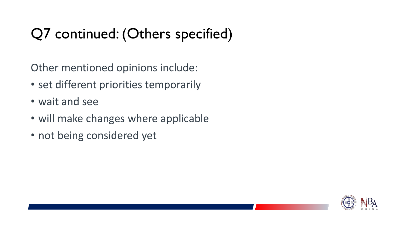# Q7 continued: (Others specified)

Other mentioned opinions include:

- set different priorities temporarily
- wait and see
- will make changes where applicable
- not being considered yet

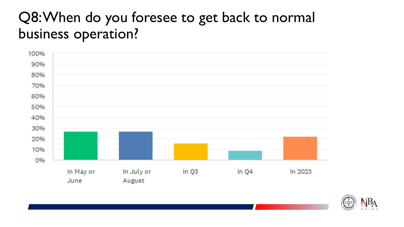## Q8: When do you foresee to get back to normal business operation?



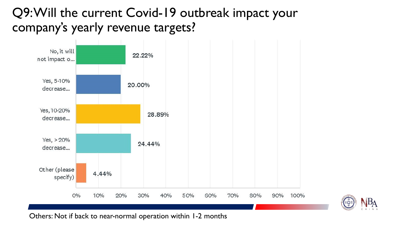#### Q9: Will the current Covid-19 outbreak impact your company's yearly revenue targets?





Others: Not if back to near-normal operation within 1-2 months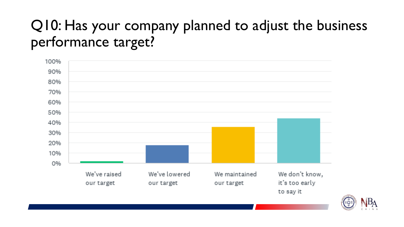## Q10: Has your company planned to adjust the business performance target?



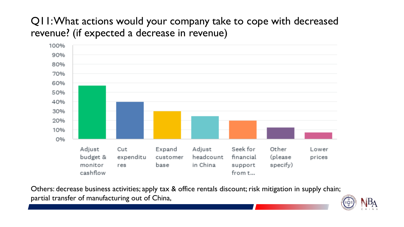#### Q11: What actions would your company take to cope with decreased revenue? (if expected a decrease in revenue)



Others: decrease business activities; apply tax & office rentals discount; risk mitigation in supply chain; partial transfer of manufacturing out of China,

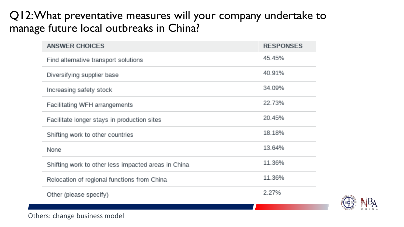#### Q12: What preventative measures will your company undertake to manage future local outbreaks in China?

| <b>ANSWER CHOICES</b>                               | <b>RESPONSES</b> |
|-----------------------------------------------------|------------------|
| Find alternative transport solutions                | 45.45%           |
| Diversifying supplier base                          | 40.91%           |
| Increasing safety stock                             | 34.09%           |
| Facilitating WFH arrangements                       | 22.73%           |
| Facilitate longer stays in production sites         | 20.45%           |
| Shifting work to other countries                    | 18.18%           |
| <b>None</b>                                         | 13.64%           |
| Shifting work to other less impacted areas in China | 11.36%           |
| Relocation of regional functions from China         | 11.36%           |
| Other (please specify)                              | 2.27%            |



Others: change business model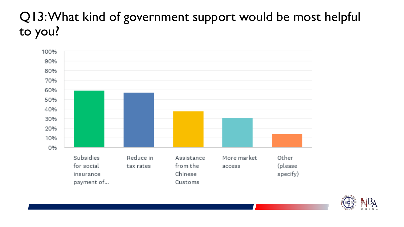### Q13: What kind of government support would be most helpful to you?



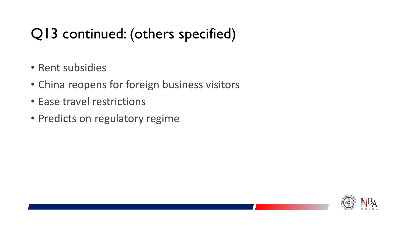# Q13 continued: (others specified)

- Rent subsidies
- China reopens for foreign business visitors
- Ease travel restrictions
- Predicts on regulatory regime

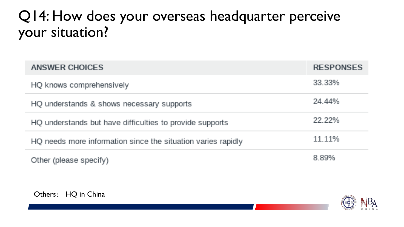## Q14: How does your overseas headquarter perceive your situation?

| ANSWER CHOICES                                               | <b>RESPONSES</b> |
|--------------------------------------------------------------|------------------|
| HQ knows comprehensively                                     | 33.33%           |
| HQ understands & shows necessary supports                    | 24.44%           |
| HQ understands but have difficulties to provide supports     | 22.22%           |
| HQ needs more information since the situation varies rapidly | 11.11%           |
| Other (please specify)                                       | 8.89%            |



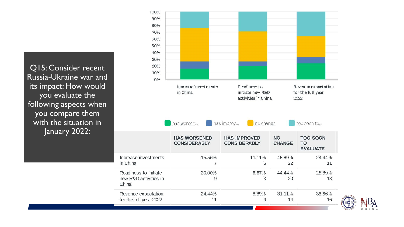Q15: Consider recent Russia-Ukraine war and its impact: How would you evaluate the following aspects when you compare them with the situation in January 2022: